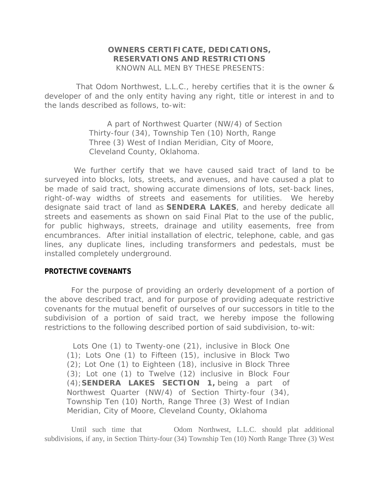## **OWNERS CERTIFICATE, DEDICATIONS, RESERVATIONS AND RESTRICTIONS** KNOWN ALL MEN BY THESE PRESENTS:

 That Odom Northwest, L.L.C., hereby certifies that it is the owner & developer of and the only entity having any right, title or interest in and to the lands described as follows, to-wit:

> A part of Northwest Quarter (NW/4) of Section Thirty-four (34), Township Ten (10) North, Range Three (3) West of Indian Meridian, City of Moore, Cleveland County, Oklahoma.

We further certify that we have caused said tract of land to be surveyed into blocks, lots, streets, and avenues, and have caused a plat to be made of said tract, showing accurate dimensions of lots, set-back lines, right-of-way widths of streets and easements for utilities. We hereby designate said tract of land as **SENDERA LAKES**, and hereby dedicate all streets and easements as shown on said Final Plat to the use of the public, for public highways, streets, drainage and utility easements, free from encumbrances. After initial installation of electric, telephone, cable, and gas lines, any duplicate lines, including transformers and pedestals, must be installed completely underground.

### **PROTECTIVE COVENANTS**

For the purpose of providing an orderly development of a portion of the above described tract, and for purpose of providing adequate restrictive covenants for the mutual benefit of ourselves of our successors in title to the subdivision of a portion of said tract, we hereby impose the following restrictions to the following described portion of said subdivision, to-wit:

Lots One (1) to Twenty-one (21), inclusive in Block One (1); Lots One (1) to Fifteen (15), inclusive in Block Two (2); Lot One (1) to Eighteen (18), inclusive in Block Three (3); Lot one (1) to Twelve (12) inclusive in Block Four (4);**SENDERA LAKES SECTION 1,** being a part of Northwest Quarter (NW/4) of Section Thirty-four (34), Township Ten (10) North, Range Three (3) West of Indian Meridian, City of Moore, Cleveland County, Oklahoma

Until such time that Odom Northwest, L.L.C. should plat additional subdivisions, if any, in Section Thirty-four (34) Township Ten (10) North Range Three (3) West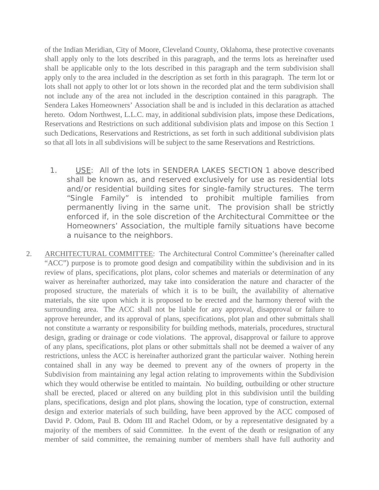of the Indian Meridian, City of Moore, Cleveland County, Oklahoma, these protective covenants shall apply only to the lots described in this paragraph, and the terms lots as hereinafter used shall be applicable only to the lots described in this paragraph and the term subdivision shall apply only to the area included in the description as set forth in this paragraph. The term lot or lots shall not apply to other lot or lots shown in the recorded plat and the term subdivision shall not include any of the area not included in the description contained in this paragraph. The Sendera Lakes Homeowners' Association shall be and is included in this declaration as attached hereto. Odom Northwest, L.L.C. may, in additional subdivision plats, impose these Dedications, Reservations and Restrictions on such additional subdivision plats and impose on this Section 1 such Dedications, Reservations and Restrictions, as set forth in such additional subdivision plats so that all lots in all subdivisions will be subject to the same Reservations and Restrictions.

- 1. USE: All of the lots in SENDERA LAKES SECTION 1 above described shall be known as, and reserved exclusively for use as residential lots and/or residential building sites for single-family structures. The term "Single Family" is intended to prohibit multiple families from permanently living in the same unit. The provision shall be strictly enforced if, in the sole discretion of the Architectural Committee or the Homeowners' Association, the multiple family situations have become a nuisance to the neighbors.
- 2. ARCHITECTURAL COMMITTEE: The Architectural Control Committee's (hereinafter called "ACC") purpose is to promote good design and compatibility within the subdivision and in its review of plans, specifications, plot plans, color schemes and materials or determination of any waiver as hereinafter authorized, may take into consideration the nature and character of the proposed structure, the materials of which it is to be built, the availability of alternative materials, the site upon which it is proposed to be erected and the harmony thereof with the surrounding area. The ACC shall not be liable for any approval, disapproval or failure to approve hereunder, and its approval of plans, specifications, plot plan and other submittals shall not constitute a warranty or responsibility for building methods, materials, procedures, structural design, grading or drainage or code violations. The approval, disapproval or failure to approve of any plans, specifications, plot plans or other submittals shall not be deemed a waiver of any restrictions, unless the ACC is hereinafter authorized grant the particular waiver. Nothing herein contained shall in any way be deemed to prevent any of the owners of property in the Subdivision from maintaining any legal action relating to improvements within the Subdivision which they would otherwise be entitled to maintain. No building, outbuilding or other structure shall be erected, placed or altered on any building plot in this subdivision until the building plans, specifications, design and plot plans, showing the location, type of construction, external design and exterior materials of such building, have been approved by the ACC composed of David P. Odom, Paul B. Odom III and Rachel Odom, or by a representative designated by a majority of the members of said Committee. In the event of the death or resignation of any member of said committee, the remaining number of members shall have full authority and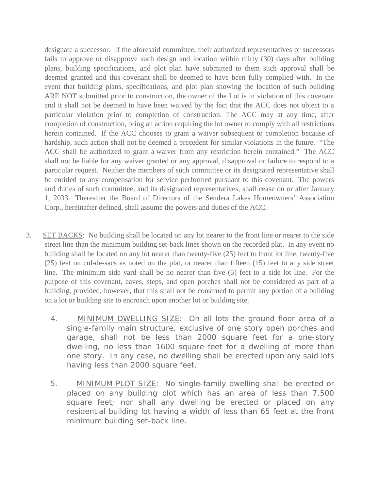designate a successor. If the aforesaid committee, their authorized representatives or successors fails to approve or disapprove such design and location within thirty (30) days after building plans, building specifications, and plot plan have submitted to them such approval shall be deemed granted and this covenant shall be deemed to have been fully complied with. In the event that building plans, specifications, and plot plan showing the location of such building ARE NOT submitted prior to construction, the owner of the Lot is in violation of this covenant and it shall not be deemed to have been waived by the fact that the ACC does not object to a particular violation prior to completion of construction. The ACC may at any time, after completion of construction, bring an action requiring the lot owner to comply with all restrictions herein contained. If the ACC chooses to grant a waiver subsequent to completion because of hardship, such action shall not be deemed a precedent for similar violations in the future. "The ACC shall be authorized to grant a waiver from any restriction herein contained." The ACC shall not be liable for any waiver granted or any approval, disapproval or failure to respond to a particular request. Neither the members of such committee or its designated representative shall be entitled to any compensation for service performed pursuant to this covenant. The powers and duties of such committee, and its designated representatives, shall cease on or after January 1, 2033. Thereafter the Board of Directors of the Sendera Lakes Homeowners' Association Corp., hereinafter defined, shall assume the powers and duties of the ACC.

- 3. SET BACKS: No building shall be located on any lot nearer to the front line or nearer to the side street line than the minimum building set-back lines shown on the recorded plat. In any event no building shall be located on any lot nearer than twenty-five (25) feet to front lot line, twenty-five (25) feet on cul-de-sacs as noted on the plat, or nearer than fifteen (15) feet to any side street line. The minimum side yard shall be no nearer than five (5) feet to a side lot line. For the purpose of this covenant, eaves, steps, and open porches shall not be considered as part of a building, provided, however, that this shall not be construed to permit any portion of a building on a lot or building site to encroach upon another lot or building site.
	- 4. MINIMUM DWELLING SIZE: On all lots the ground floor area of a single-family main structure, exclusive of one story open porches and garage, shall not be less than 2000 square feet for a one-story dwelling, no less than 1600 square feet for a dwelling of more than one story. In any case, no dwelling shall be erected upon any said lots having less than 2000 square feet.
	- 5. MINIMUM PLOT SIZE: No single-family dwelling shall be erected or placed on any building plot which has an area of less than 7,500 square feet; nor shall any dwelling be erected or placed on any residential building lot having a width of less than 65 feet at the front minimum building set-back line.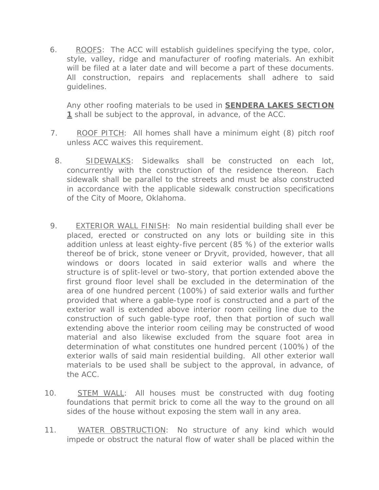6. ROOFS: The ACC will establish guidelines specifying the type, color, style, valley, ridge and manufacturer of roofing materials. An exhibit will be filed at a later date and will become a part of these documents. All construction, repairs and replacements shall adhere to said guidelines.

Any other roofing materials to be used in **SENDERA LAKES SECTION 1** shall be subject to the approval, in advance, of the ACC.

- 7. ROOF PITCH: All homes shall have a minimum eight (8) pitch roof unless ACC waives this requirement.
- 8. SIDEWALKS: Sidewalks shall be constructed on each lot, concurrently with the construction of the residence thereon. Each sidewalk shall be parallel to the streets and must be also constructed in accordance with the applicable sidewalk construction specifications of the City of Moore, Oklahoma.
- 9. EXTERIOR WALL FINISH: No main residential building shall ever be placed, erected or constructed on any lots or building site in this addition unless at least eighty-five percent (85 %) of the exterior walls thereof be of brick, stone veneer or Dryvit, provided, however, that all windows or doors located in said exterior walls and where the structure is of split-level or two-story, that portion extended above the first ground floor level shall be excluded in the determination of the area of one hundred percent (100%) of said exterior walls and further provided that where a gable-type roof is constructed and a part of the exterior wall is extended above interior room ceiling line due to the construction of such gable-type roof, then that portion of such wall extending above the interior room ceiling may be constructed of wood material and also likewise excluded from the square foot area in determination of what constitutes one hundred percent (100%) of the exterior walls of said main residential building. All other exterior wall materials to be used shall be subject to the approval, in advance, of the ACC.
- 10. STEM WALL: All houses must be constructed with dug footing foundations that permit brick to come all the way to the ground on all sides of the house without exposing the stem wall in any area.
- 11. WATER OBSTRUCTION: No structure of any kind which would impede or obstruct the natural flow of water shall be placed within the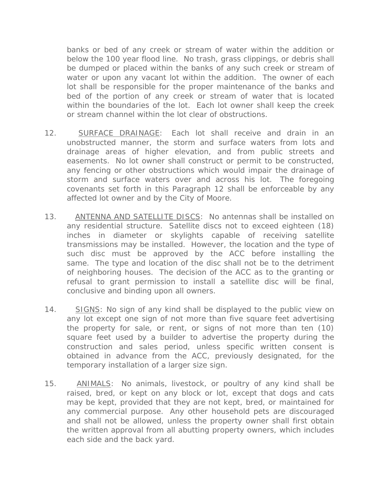banks or bed of any creek or stream of water within the addition or below the 100 year flood line. No trash, grass clippings, or debris shall be dumped or placed within the banks of any such creek or stream of water or upon any vacant lot within the addition. The owner of each lot shall be responsible for the proper maintenance of the banks and bed of the portion of any creek or stream of water that is located within the boundaries of the lot. Each lot owner shall keep the creek or stream channel within the lot clear of obstructions.

- 12. SURFACE DRAINAGE: Each lot shall receive and drain in an unobstructed manner, the storm and surface waters from lots and drainage areas of higher elevation, and from public streets and easements. No lot owner shall construct or permit to be constructed, any fencing or other obstructions which would impair the drainage of storm and surface waters over and across his lot. The foregoing covenants set forth in this Paragraph 12 shall be enforceable by any affected lot owner and by the City of Moore.
- 13. ANTENNA AND SATELLITE DISCS: No antennas shall be installed on any residential structure. Satellite discs not to exceed eighteen (18) inches in diameter or skylights capable of receiving satellite transmissions may be installed. However, the location and the type of such disc must be approved by the ACC before installing the same. The type and location of the disc shall not be to the detriment of neighboring houses. The decision of the ACC as to the granting or refusal to grant permission to install a satellite disc will be final, conclusive and binding upon all owners.
- 14. SIGNS: No sign of any kind shall be displayed to the public view on any lot except one sign of not more than five square feet advertising the property for sale, or rent, or signs of not more than ten (10) square feet used by a builder to advertise the property during the construction and sales period, unless specific written consent is obtained in advance from the ACC, previously designated, for the temporary installation of a larger size sign.
- 15. ANIMALS: No animals, livestock, or poultry of any kind shall be raised, bred, or kept on any block or lot, except that dogs and cats may be kept, provided that they are not kept, bred, or maintained for any commercial purpose. Any other household pets are discouraged and shall not be allowed, unless the property owner shall first obtain the written approval from all abutting property owners, which includes each side and the back yard.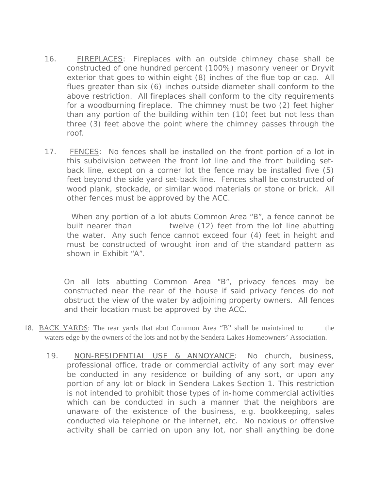- 16. FIREPLACES: Fireplaces with an outside chimney chase shall be constructed of one hundred percent (100%) masonry veneer or Dryvit exterior that goes to within eight (8) inches of the flue top or cap. All flues greater than six (6) inches outside diameter shall conform to the above restriction. All fireplaces shall conform to the city requirements for a woodburning fireplace. The chimney must be two (2) feet higher than any portion of the building within ten (10) feet but not less than three (3) feet above the point where the chimney passes through the roof.
- 17. FENCES: No fences shall be installed on the front portion of a lot in this subdivision between the front lot line and the front building setback line, except on a corner lot the fence may be installed five (5) feet beyond the side yard set-back line. Fences shall be constructed of wood plank, stockade, or similar wood materials or stone or brick. All other fences must be approved by the ACC.

 When any portion of a lot abuts Common Area "B", a fence cannot be built nearer than twelve (12) feet from the lot line abutting the water. Any such fence cannot exceed four (4) feet in height and must be constructed of wrought iron and of the standard pattern as shown in Exhibit "A".

On all lots abutting Common Area "B", privacy fences may be constructed near the rear of the house if said privacy fences do not obstruct the view of the water by adjoining property owners. All fences and their location must be approved by the ACC.

- 18. BACK YARDS: The rear yards that abut Common Area "B" shall be maintained to the waters edge by the owners of the lots and not by the Sendera Lakes Homeowners' Association.
	- 19. NON-RESIDENTIAL USE & ANNOYANCE: No church, business, professional office, trade or commercial activity of any sort may ever be conducted in any residence or building of any sort, or upon any portion of any lot or block in Sendera Lakes Section 1. This restriction is not intended to prohibit those types of in-home commercial activities which can be conducted in such a manner that the neighbors are unaware of the existence of the business, e.g. bookkeeping, sales conducted via telephone or the internet, etc. No noxious or offensive activity shall be carried on upon any lot, nor shall anything be done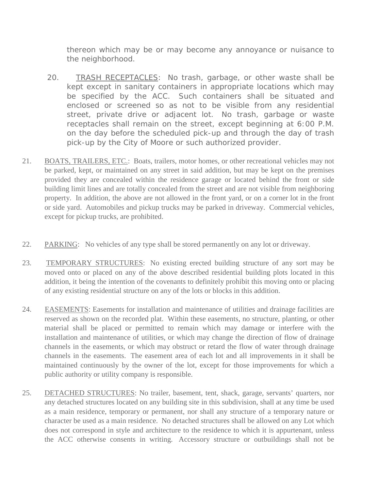thereon which may be or may become any annoyance or nuisance to the neighborhood.

- 20. TRASH RECEPTACLES: No trash, garbage, or other waste shall be kept except in sanitary containers in appropriate locations which may be specified by the ACC. Such containers shall be situated and enclosed or screened so as not to be visible from any residential street, private drive or adjacent lot. No trash, garbage or waste receptacles shall remain on the street, except beginning at 6:00 P.M. on the day before the scheduled pick-up and through the day of trash pick-up by the City of Moore or such authorized provider.
- 21. BOATS, TRAILERS, ETC.: Boats, trailers, motor homes, or other recreational vehicles may not be parked, kept, or maintained on any street in said addition, but may be kept on the premises provided they are concealed within the residence garage or located behind the front or side building limit lines and are totally concealed from the street and are not visible from neighboring property. In addition, the above are not allowed in the front yard, or on a corner lot in the front or side yard. Automobiles and pickup trucks may be parked in driveway. Commercial vehicles, except for pickup trucks, are prohibited.
- 22. PARKING: No vehicles of any type shall be stored permanently on any lot or driveway.
- 23. TEMPORARY STRUCTURES: No existing erected building structure of any sort may be moved onto or placed on any of the above described residential building plots located in this addition, it being the intention of the covenants to definitely prohibit this moving onto or placing of any existing residential structure on any of the lots or blocks in this addition.
- 24. EASEMENTS: Easements for installation and maintenance of utilities and drainage facilities are reserved as shown on the recorded plat. Within these easements, no structure, planting, or other material shall be placed or permitted to remain which may damage or interfere with the installation and maintenance of utilities, or which may change the direction of flow of drainage channels in the easements, or which may obstruct or retard the flow of water through drainage channels in the easements. The easement area of each lot and all improvements in it shall be maintained continuously by the owner of the lot, except for those improvements for which a public authority or utility company is responsible.
- 25. DETACHED STRUCTURES: No trailer, basement, tent, shack, garage, servants' quarters, nor any detached structures located on any building site in this subdivision, shall at any time be used as a main residence, temporary or permanent, nor shall any structure of a temporary nature or character be used as a main residence. No detached structures shall be allowed on any Lot which does not correspond in style and architecture to the residence to which it is appurtenant, unless the ACC otherwise consents in writing. Accessory structure or outbuildings shall not be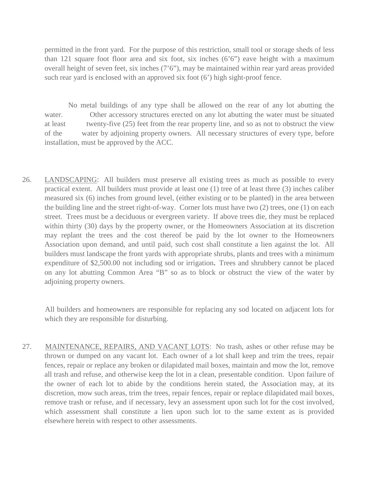permitted in the front yard. For the purpose of this restriction, small tool or storage sheds of less than 121 square foot floor area and six foot, six inches  $(6'6'')$  eave height with a maximum overall height of seven feet, six inches (7'6"), may be maintained within rear yard areas provided such rear yard is enclosed with an approved six foot (6') high sight-proof fence.

 No metal buildings of any type shall be allowed on the rear of any lot abutting the water. Other accessory structures erected on any lot abutting the water must be situated at least twenty-five (25) feet from the rear property line, and so as not to obstruct the view of the water by adjoining property owners. All necessary structures of every type, before installation, must be approved by the ACC.

26. LANDSCAPING: All builders must preserve all existing trees as much as possible to every practical extent. All builders must provide at least one (1) tree of at least three (3) inches caliber measured six (6) inches from ground level, (either existing or to be planted) in the area between the building line and the street right-of-way. Corner lots must have two (2) trees, one (1) on each street. Trees must be a deciduous or evergreen variety. If above trees die, they must be replaced within thirty (30) days by the property owner, or the Homeowners Association at its discretion may replant the trees and the cost thereof be paid by the lot owner to the Homeowners Association upon demand, and until paid, such cost shall constitute a lien against the lot. All builders must landscape the front yards with appropriate shrubs, plants and trees with a minimum expenditure of \$2,500.00 not including sod or irrigation**.** Trees and shrubbery cannot be placed on any lot abutting Common Area "B" so as to block or obstruct the view of the water by adjoining property owners.

 All builders and homeowners are responsible for replacing any sod located on adjacent lots for which they are responsible for disturbing.

27. MAINTENANCE, REPAIRS, AND VACANT LOTS: No trash, ashes or other refuse may be thrown or dumped on any vacant lot. Each owner of a lot shall keep and trim the trees, repair fences, repair or replace any broken or dilapidated mail boxes, maintain and mow the lot, remove all trash and refuse, and otherwise keep the lot in a clean, presentable condition. Upon failure of the owner of each lot to abide by the conditions herein stated, the Association may, at its discretion, mow such areas, trim the trees, repair fences, repair or replace dilapidated mail boxes, remove trash or refuse, and if necessary, levy an assessment upon such lot for the cost involved, which assessment shall constitute a lien upon such lot to the same extent as is provided elsewhere herein with respect to other assessments.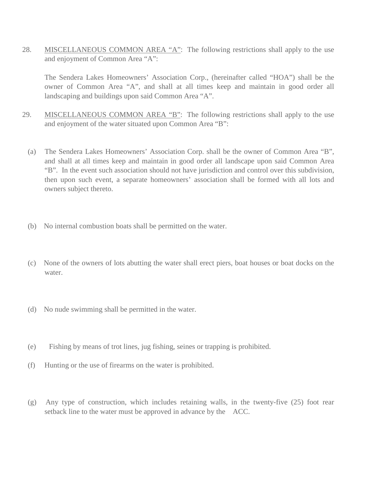28. MISCELLANEOUS COMMON AREA "A": The following restrictions shall apply to the use and enjoyment of Common Area "A":

The Sendera Lakes Homeowners' Association Corp., (hereinafter called "HOA") shall be the owner of Common Area "A", and shall at all times keep and maintain in good order all landscaping and buildings upon said Common Area "A".

- 29. MISCELLANEOUS COMMON AREA "B": The following restrictions shall apply to the use and enjoyment of the water situated upon Common Area "B":
	- (a) The Sendera Lakes Homeowners' Association Corp. shall be the owner of Common Area "B", and shall at all times keep and maintain in good order all landscape upon said Common Area "B". In the event such association should not have jurisdiction and control over this subdivision, then upon such event, a separate homeowners' association shall be formed with all lots and owners subject thereto.
	- (b) No internal combustion boats shall be permitted on the water.
	- (c) None of the owners of lots abutting the water shall erect piers, boat houses or boat docks on the water.
	- (d) No nude swimming shall be permitted in the water.
	- (e) Fishing by means of trot lines, jug fishing, seines or trapping is prohibited.
	- (f) Hunting or the use of firearms on the water is prohibited.
	- (g) Any type of construction, which includes retaining walls, in the twenty-five (25) foot rear setback line to the water must be approved in advance by the ACC.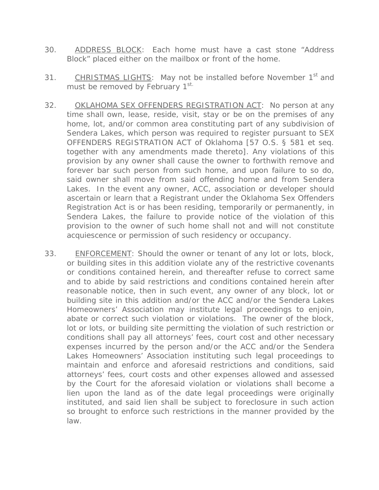- 30. ADDRESS BLOCK: Each home must have a cast stone "Address Block" placed either on the mailbox or front of the home.
- 31. CHRISTMAS LIGHTS: May not be installed before November 1<sup>st</sup> and must be removed by February 1st.
- 32. OKLAHOMA SEX OFFENDERS REGISTRATION ACT: No person at any time shall own, lease, reside, visit, stay or be on the premises of any home, lot, and/or common area constituting part of any subdivision of Sendera Lakes, which person was required to register pursuant to SEX OFFENDERS REGISTRATION ACT of Oklahoma [57 O.S. § 581 et seq. together with any amendments made thereto]. Any violations of this provision by any owner shall cause the owner to forthwith remove and forever bar such person from such home, and upon failure to so do, said owner shall move from said offending home and from Sendera Lakes. In the event any owner, ACC, association or developer should ascertain or learn that a Registrant under the Oklahoma Sex Offenders Registration Act is or has been residing, temporarily or permanently, in Sendera Lakes, the failure to provide notice of the violation of this provision to the owner of such home shall not and will not constitute acquiescence or permission of such residency or occupancy.
- 33. ENFORCEMENT: Should the owner or tenant of any lot or lots, block, or building sites in this addition violate any of the restrictive covenants or conditions contained herein, and thereafter refuse to correct same and to abide by said restrictions and conditions contained herein after reasonable notice, then in such event, any owner of any block, lot or building site in this addition and/or the ACC and/or the Sendera Lakes Homeowners' Association may institute legal proceedings to enjoin, abate or correct such violation or violations. The owner of the block, lot or lots, or building site permitting the violation of such restriction or conditions shall pay all attorneys' fees, court cost and other necessary expenses incurred by the person and/or the ACC and/or the Sendera Lakes Homeowners' Association instituting such legal proceedings to maintain and enforce and aforesaid restrictions and conditions, said attorneys' fees, court costs and other expenses allowed and assessed by the Court for the aforesaid violation or violations shall become a lien upon the land as of the date legal proceedings were originally instituted, and said lien shall be subject to foreclosure in such action so brought to enforce such restrictions in the manner provided by the law.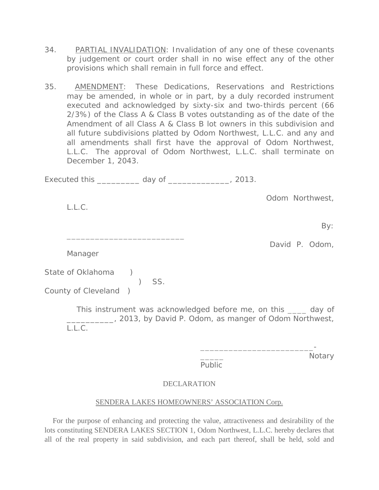- 34. PARTIAL INVALIDATION: Invalidation of any one of these covenants by judgement or court order shall in no wise effect any of the other provisions which shall remain in full force and effect.
- 35. AMENDMENT: These Dedications, Reservations and Restrictions may be amended, in whole or in part, by a duly recorded instrument executed and acknowledged by sixty-six and two-thirds percent (66 2/3%) of the Class A & Class B votes outstanding as of the date of the Amendment of all Class A & Class B lot owners in this subdivision and all future subdivisions platted by Odom Northwest, L.L.C. and any and all amendments shall first have the approval of Odom Northwest, L.L.C. The approval of Odom Northwest, L.L.C. shall terminate on December 1, 2043.

Executed this \_\_\_\_\_\_\_\_\_ day of \_\_\_\_\_\_\_\_\_\_\_\_\_, 2013.

Odom Northwest,

L.L.C.

By:

David P. Odom,

Manager

State of Oklahoma )

\_\_\_\_\_\_\_\_\_\_\_\_\_\_\_\_\_\_\_\_\_\_\_\_\_

 $\begin{pmatrix} 1 & 0 \\ 0 & 1 \end{pmatrix}$  SS. County of Cleveland )

> This instrument was acknowledged before me, on this \_\_\_\_ day of \_\_\_\_\_\_\_\_\_\_, 2013, by David P. Odom, as manger of Odom Northwest, L.L.C.

> > Public

\_\_\_\_\_\_\_\_\_\_\_\_\_\_\_\_\_\_\_\_\_\_\_\_-

Notary

# DECLARATION

## SENDERA LAKES HOMEOWNERS' ASSOCIATION Corp.

 For the purpose of enhancing and protecting the value, attractiveness and desirability of the lots constituting SENDERA LAKES SECTION 1, Odom Northwest, L.L.C. hereby declares that all of the real property in said subdivision, and each part thereof, shall be held, sold and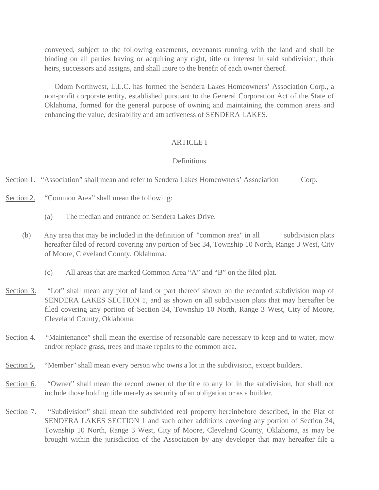conveyed, subject to the following easements, covenants running with the land and shall be binding on all parties having or acquiring any right, title or interest in said subdivision, their heirs, successors and assigns, and shall inure to the benefit of each owner thereof.

 Odom Northwest, L.L.C. has formed the Sendera Lakes Homeowners' Association Corp., a non-profit corporate entity, established pursuant to the General Corporation Act of the State of Oklahoma, formed for the general purpose of owning and maintaining the common areas and enhancing the value, desirability and attractiveness of SENDERA LAKES.

#### ARTICLE I

#### Definitions

Section 1. "Association" shall mean and refer to Sendera Lakes Homeowners' Association Corp.

- Section 2. "Common Area" shall mean the following:
	- (a) The median and entrance on Sendera Lakes Drive.
	- (b) Any area that may be included in the definition of "common area" in all subdivision plats hereafter filed of record covering any portion of Sec 34, Township 10 North, Range 3 West, City of Moore, Cleveland County, Oklahoma.
		- (c) All areas that are marked Common Area "A" and "B" on the filed plat.
- Section 3. "Lot" shall mean any plot of land or part thereof shown on the recorded subdivision map of SENDERA LAKES SECTION 1, and as shown on all subdivision plats that may hereafter be filed covering any portion of Section 34, Township 10 North, Range 3 West, City of Moore, Cleveland County, Oklahoma.
- Section 4. "Maintenance" shall mean the exercise of reasonable care necessary to keep and to water, mow and/or replace grass, trees and make repairs to the common area.
- Section 5. "Member" shall mean every person who owns a lot in the subdivision, except builders.
- Section 6. "Owner" shall mean the record owner of the title to any lot in the subdivision, but shall not include those holding title merely as security of an obligation or as a builder.
- Section 7. "Subdivision" shall mean the subdivided real property hereinbefore described, in the Plat of SENDERA LAKES SECTION 1 and such other additions covering any portion of Section 34, Township 10 North, Range 3 West, City of Moore, Cleveland County, Oklahoma, as may be brought within the jurisdiction of the Association by any developer that may hereafter file a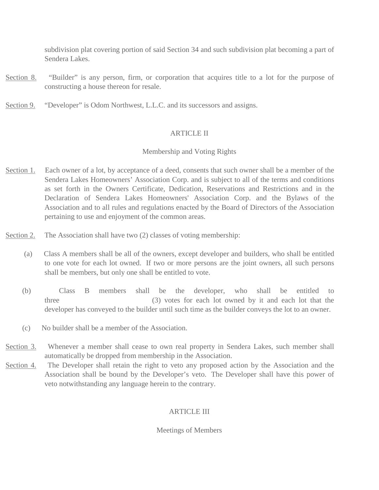subdivision plat covering portion of said Section 34 and such subdivision plat becoming a part of Sendera Lakes.

- Section 8. "Builder" is any person, firm, or corporation that acquires title to a lot for the purpose of constructing a house thereon for resale.
- Section 9. "Developer" is Odom Northwest, L.L.C. and its successors and assigns.

## ARTICLE II

## Membership and Voting Rights

- Section 1. Each owner of a lot, by acceptance of a deed, consents that such owner shall be a member of the Sendera Lakes Homeowners' Association Corp. and is subject to all of the terms and conditions as set forth in the Owners Certificate, Dedication, Reservations and Restrictions and in the Declaration of Sendera Lakes Homeowners' Association Corp. and the Bylaws of the Association and to all rules and regulations enacted by the Board of Directors of the Association pertaining to use and enjoyment of the common areas.
- Section 2. The Association shall have two (2) classes of voting membership:
	- (a) Class A members shall be all of the owners, except developer and builders, who shall be entitled to one vote for each lot owned. If two or more persons are the joint owners, all such persons shall be members, but only one shall be entitled to vote.
	- (b) Class B members shall be the developer, who shall be entitled to three (3) votes for each lot owned by it and each lot that the developer has conveyed to the builder until such time as the builder conveys the lot to an owner.
	- (c) No builder shall be a member of the Association.
- Section 3. Whenever a member shall cease to own real property in Sendera Lakes, such member shall automatically be dropped from membership in the Association.
- Section 4. The Developer shall retain the right to veto any proposed action by the Association and the Association shall be bound by the Developer's veto. The Developer shall have this power of veto notwithstanding any language herein to the contrary.

# ARTICLE III

## Meetings of Members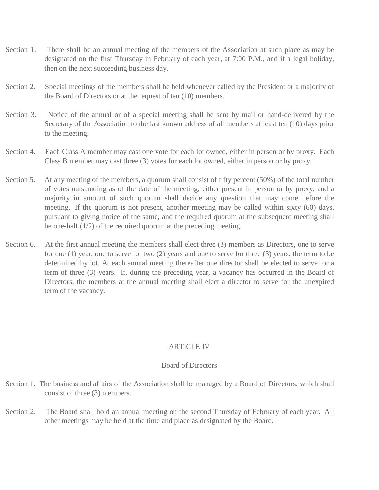- Section 1. There shall be an annual meeting of the members of the Association at such place as may be designated on the first Thursday in February of each year, at 7:00 P.M., and if a legal holiday, then on the next succeeding business day.
- Section 2. Special meetings of the members shall be held whenever called by the President or a majority of the Board of Directors or at the request of ten (10) members.
- Section 3. Notice of the annual or of a special meeting shall be sent by mail or hand-delivered by the Secretary of the Association to the last known address of all members at least ten (10) days prior to the meeting.
- Section 4. Each Class A member may cast one vote for each lot owned, either in person or by proxy. Each Class B member may cast three (3) votes for each lot owned, either in person or by proxy.
- Section 5. At any meeting of the members, a quorum shall consist of fifty percent (50%) of the total number of votes outstanding as of the date of the meeting, either present in person or by proxy, and a majority in amount of such quorum shall decide any question that may come before the meeting. If the quorum is not present, another meeting may be called within sixty (60) days, pursuant to giving notice of the same, and the required quorum at the subsequent meeting shall be one-half (1/2) of the required quorum at the preceding meeting.
- Section 6. At the first annual meeting the members shall elect three (3) members as Directors, one to serve for one (1) year, one to serve for two (2) years and one to serve for three (3) years, the term to be determined by lot. At each annual meeting thereafter one director shall be elected to serve for a term of three (3) years. If, during the preceding year, a vacancy has occurred in the Board of Directors, the members at the annual meeting shall elect a director to serve for the unexpired term of the vacancy.

### ARTICLE IV

#### Board of Directors

- Section 1. The business and affairs of the Association shall be managed by a Board of Directors, which shall consist of three (3) members.
- Section 2. The Board shall hold an annual meeting on the second Thursday of February of each year. All other meetings may be held at the time and place as designated by the Board.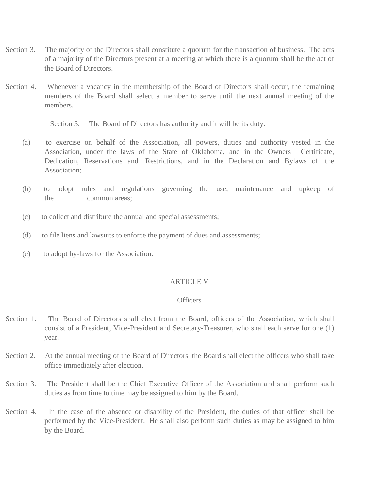- Section 3. The majority of the Directors shall constitute a quorum for the transaction of business. The acts of a majority of the Directors present at a meeting at which there is a quorum shall be the act of the Board of Directors.
- Section 4. Whenever a vacancy in the membership of the Board of Directors shall occur, the remaining members of the Board shall select a member to serve until the next annual meeting of the members.

Section 5. The Board of Directors has authority and it will be its duty:

- (a) to exercise on behalf of the Association, all powers, duties and authority vested in the Association, under the laws of the State of Oklahoma, and in the Owners Certificate, Dedication, Reservations and Restrictions, and in the Declaration and Bylaws of the Association;
- (b) to adopt rules and regulations governing the use, maintenance and upkeep of the common areas;
- (c) to collect and distribute the annual and special assessments;
- (d) to file liens and lawsuits to enforce the payment of dues and assessments;
- (e) to adopt by-laws for the Association.

#### ARTICLE V

## **Officers**

- Section 1. The Board of Directors shall elect from the Board, officers of the Association, which shall consist of a President, Vice-President and Secretary-Treasurer, who shall each serve for one (1) year.
- Section 2. At the annual meeting of the Board of Directors, the Board shall elect the officers who shall take office immediately after election.
- Section 3. The President shall be the Chief Executive Officer of the Association and shall perform such duties as from time to time may be assigned to him by the Board.
- Section 4. In the case of the absence or disability of the President, the duties of that officer shall be performed by the Vice-President. He shall also perform such duties as may be assigned to him by the Board.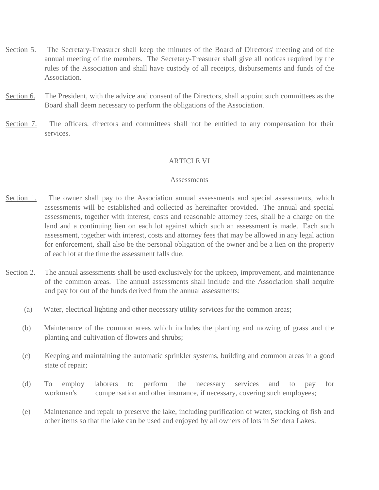- Section 5. The Secretary-Treasurer shall keep the minutes of the Board of Directors' meeting and of the annual meeting of the members. The Secretary-Treasurer shall give all notices required by the rules of the Association and shall have custody of all receipts, disbursements and funds of the Association.
- Section 6. The President, with the advice and consent of the Directors, shall appoint such committees as the Board shall deem necessary to perform the obligations of the Association.
- Section 7. The officers, directors and committees shall not be entitled to any compensation for their services.

### ARTICLE VI

#### **Assessments**

- Section 1. The owner shall pay to the Association annual assessments and special assessments, which assessments will be established and collected as hereinafter provided. The annual and special assessments, together with interest, costs and reasonable attorney fees, shall be a charge on the land and a continuing lien on each lot against which such an assessment is made. Each such assessment, together with interest, costs and attorney fees that may be allowed in any legal action for enforcement, shall also be the personal obligation of the owner and be a lien on the property of each lot at the time the assessment falls due.
- Section 2. The annual assessments shall be used exclusively for the upkeep, improvement, and maintenance of the common areas. The annual assessments shall include and the Association shall acquire and pay for out of the funds derived from the annual assessments:
	- (a) Water, electrical lighting and other necessary utility services for the common areas;
	- (b) Maintenance of the common areas which includes the planting and mowing of grass and the planting and cultivation of flowers and shrubs;
	- (c) Keeping and maintaining the automatic sprinkler systems, building and common areas in a good state of repair;
	- (d) To employ laborers to perform the necessary services and to pay for workman's compensation and other insurance, if necessary, covering such employees;
	- (e) Maintenance and repair to preserve the lake, including purification of water, stocking of fish and other items so that the lake can be used and enjoyed by all owners of lots in Sendera Lakes.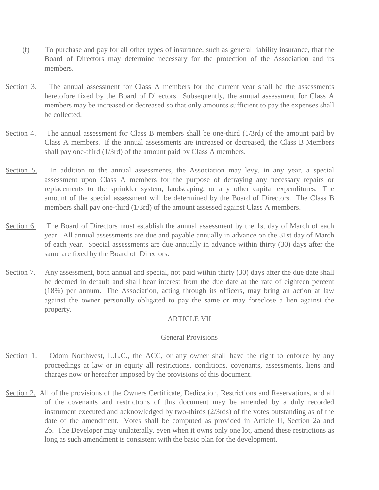- (f) To purchase and pay for all other types of insurance, such as general liability insurance, that the Board of Directors may determine necessary for the protection of the Association and its members.
- Section 3. The annual assessment for Class A members for the current year shall be the assessments heretofore fixed by the Board of Directors. Subsequently, the annual assessment for Class A members may be increased or decreased so that only amounts sufficient to pay the expenses shall be collected.
- Section 4. The annual assessment for Class B members shall be one-third (1/3rd) of the amount paid by Class A members. If the annual assessments are increased or decreased, the Class B Members shall pay one-third (1/3rd) of the amount paid by Class A members.
- Section 5. In addition to the annual assessments, the Association may levy, in any year, a special assessment upon Class A members for the purpose of defraying any necessary repairs or replacements to the sprinkler system, landscaping, or any other capital expenditures. The amount of the special assessment will be determined by the Board of Directors. The Class B members shall pay one-third (1/3rd) of the amount assessed against Class A members.
- Section 6. The Board of Directors must establish the annual assessment by the 1st day of March of each year. All annual assessments are due and payable annually in advance on the 31st day of March of each year. Special assessments are due annually in advance within thirty (30) days after the same are fixed by the Board of Directors.
- Section 7. Any assessment, both annual and special, not paid within thirty (30) days after the due date shall be deemed in default and shall bear interest from the due date at the rate of eighteen percent (18%) per annum. The Association, acting through its officers, may bring an action at law against the owner personally obligated to pay the same or may foreclose a lien against the property.

### ARTICLE VII

### General Provisions

- Section 1. Odom Northwest, L.L.C., the ACC, or any owner shall have the right to enforce by any proceedings at law or in equity all restrictions, conditions, covenants, assessments, liens and charges now or hereafter imposed by the provisions of this document.
- Section 2. All of the provisions of the Owners Certificate, Dedication, Restrictions and Reservations, and all of the covenants and restrictions of this document may be amended by a duly recorded instrument executed and acknowledged by two-thirds (2/3rds) of the votes outstanding as of the date of the amendment. Votes shall be computed as provided in Article II, Section 2a and 2b. The Developer may unilaterally, even when it owns only one lot, amend these restrictions as long as such amendment is consistent with the basic plan for the development.